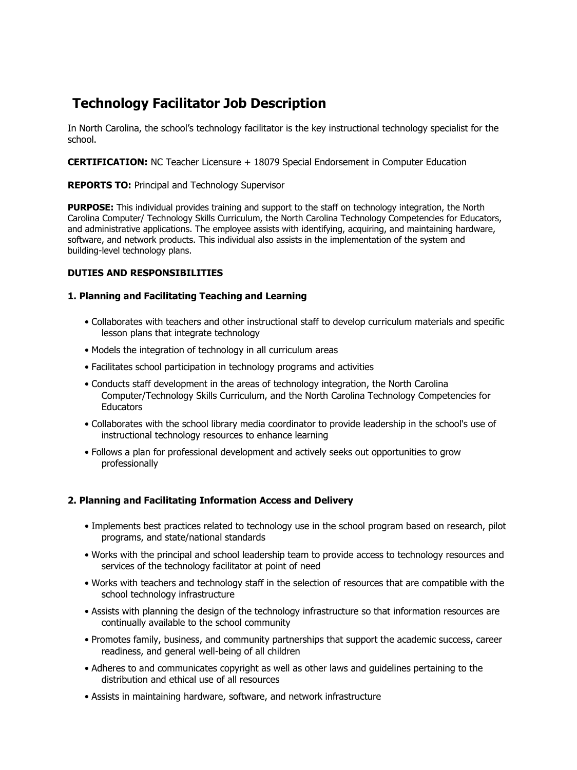# **Technology Facilitator Job Description**

In North Carolina, the school's technology facilitator is the key instructional technology specialist for the school.

**CERTIFICATION:** NC Teacher Licensure + 18079 Special Endorsement in Computer Education

### **REPORTS TO:** Principal and Technology Supervisor

**PURPOSE:** This individual provides training and support to the staff on technology integration, the North Carolina Computer/ Technology Skills Curriculum, the North Carolina Technology Competencies for Educators, and administrative applications. The employee assists with identifying, acquiring, and maintaining hardware, software, and network products. This individual also assists in the implementation of the system and building-level technology plans.

### **DUTIES AND RESPONSIBILITIES**

### **1. Planning and Facilitating Teaching and Learning**

- Collaborates with teachers and other instructional staff to develop curriculum materials and specific lesson plans that integrate technology
- Models the integration of technology in all curriculum areas
- Facilitates school participation in technology programs and activities
- Conducts staff development in the areas of technology integration, the North Carolina Computer/Technology Skills Curriculum, and the North Carolina Technology Competencies for **Educators**
- Collaborates with the school library media coordinator to provide leadership in the school's use of instructional technology resources to enhance learning
- Follows a plan for professional development and actively seeks out opportunities to grow professionally

## **2. Planning and Facilitating Information Access and Delivery**

- Implements best practices related to technology use in the school program based on research, pilot programs, and state/national standards
- Works with the principal and school leadership team to provide access to technology resources and services of the technology facilitator at point of need
- Works with teachers and technology staff in the selection of resources that are compatible with the school technology infrastructure
- Assists with planning the design of the technology infrastructure so that information resources are continually available to the school community
- Promotes family, business, and community partnerships that support the academic success, career readiness, and general well-being of all children
- Adheres to and communicates copyright as well as other laws and guidelines pertaining to the distribution and ethical use of all resources
- Assists in maintaining hardware, software, and network infrastructure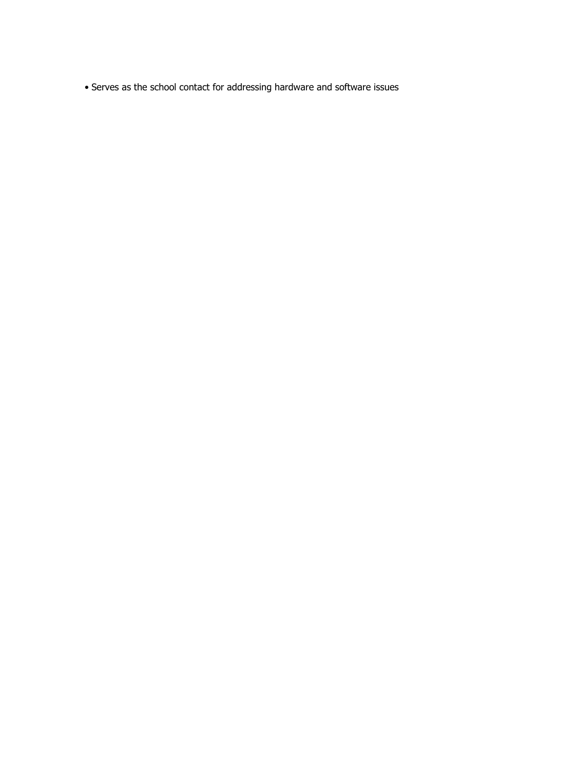• Serves as the school contact for addressing hardware and software issues